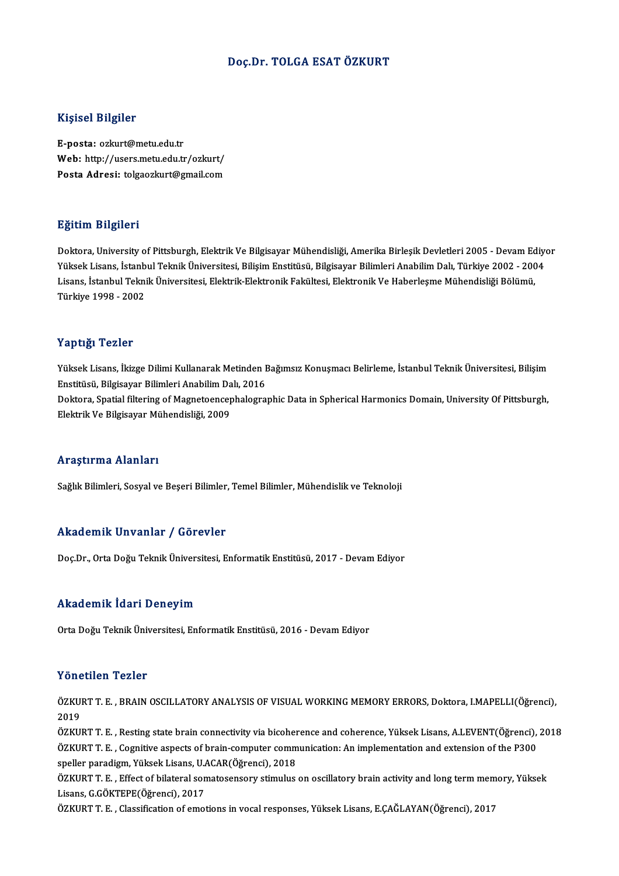### Doç.Dr. TOLGA ESATÖZKURT

### Kişisel Bilgiler

E-posta: ozkurt@metu.edu.tr mynoor Engnor<br>E-posta: ozkurt@metu.edu.tr<br>Web: http://users.metu.edu.tr/ozkurt/<br>Posta Adrosi: tekseszkurt@smeil.com E-posta: ozkurt@metu.edu.tr<br>Web: http://users.metu.edu.tr/ozkurt/<br>Posta Adresi: tolgaozkurt@gmail.com Posta Adresi: tolgaozkurt@gmail.com<br>Eğitim Bilgileri

Doktora, University of Pittsburgh, Elektrik Ve Bilgisayar Mühendisliği, Amerika Birleşik Devletleri 2005 - Devam Ediyor 25.0000 2015.0000<br>Doktora, University of Pittsburgh, Elektrik Ve Bilgisayar Mühendisliği, Amerika Birleşik Devletleri 2005 - Devam Ediye<br>Yüksek Lisans, İstanbul Teknik Üniversitesi, Bilişim Enstitüsü, Bilgisayar Bilimleri Doktora, University of Pittsburgh, Elektrik Ve Bilgisayar Mühendisliği, Amerika Birleşik Devletleri 2005 - Devam Ed<br>Yüksek Lisans, İstanbul Teknik Üniversitesi, Bilişim Enstitüsü, Bilgisayar Bilimleri Anabilim Dalı, Türkiy Yüksek Lisans, İstanb<br>Lisans, İstanbul Tekni<br>Türkiye 1998 - 2002 Türkiye 1998 - 2002<br>Yaptığı Tezler

Yaptığı Tezler<br>Yüksek Lisans, İkizge Dilimi Kullanarak Metinden Bağımsız Konuşmacı Belirleme, İstanbul Teknik Üniversitesi, Bilişim<br>Enstitüsü, Bilgiseyar Bilimleri Anabilim Delı, 2016 Tüptiği<br>Tüksek Lisans, İkizge Dilimi Kullanarak Metinden I<br>Enstitüsü, Bilgisayar Bilimleri Anabilim Dalı, 2016<br>Delttera Spatial filtering of Megneteensenbalegra Yüksek Lisans, İkizge Dilimi Kullanarak Metinden Bağımsız Konuşmacı Belirleme, İstanbul Teknik Üniversitesi, Bilişim<br>Enstitüsü, Bilgisayar Bilimleri Anabilim Dalı, 2016<br>Doktora, Spatial filtering of Magnetoencephalographic Enstitüsü, Bilgisayar Bilimleri Anabilim Dalı, 2016<br>Doktora, Spatial filtering of Magnetoencephalographic Data in Spherical Harmonics Domain, University Of Pittsburgh,<br>Elektrik Ve Bilgisayar Mühendisliği, 2009

### Araştırma Alanları

Sağlık Bilimleri, Sosyal ve Beşeri Bilimler, Temel Bilimler, Mühendislik ve Teknoloji

### Akademik Unvanlar / Görevler

Doç.Dr., Orta Doğu Teknik Üniversitesi, Enformatik Enstitüsü, 2017 - Devam Ediyor

### Akademik İdari Deneyim

Orta Doğu Teknik Üniversitesi, Enformatik Enstitüsü, 2016 - Devam Ediyor

### Yönetilen Tezler

Yönetilen Tezler<br>ÖZKURT T. E. , BRAIN OSCILLATORY ANALYSIS OF VISUAL WORKING MEMORY ERRORS, Doktora, I.MAPELLI(Öğrenci),<br>2019 2015<br>ÖZKUI<br>ÖZKUI ÖZKURT T. E. , BRAIN OSCILLATORY ANALYSIS OF VISUAL WORKING MEMORY ERRORS, Doktora, I.MAPELLI(Öğrenci),<br>2019<br>ÖZKURT T. E. , Resting state brain connectivity via bicoherence and coherence, Yüksek Lisans, A.LEVENT(Öğrenci),

2019<br>ÖZKURT T. E. , Resting state brain connectivity via bicoherence and coherence, Yüksek Lisans, A.LEVENT(Öğrenci), 2018<br>ÖZKURT T. E. , Cognitive aspects of brain-computer communication: An implementation and extension o ÖZKURT T. E. , Resting state brain connectivity via bicoher<br>ÖZKURT T. E. , Cognitive aspects of brain-computer comm<br>speller paradigm, Yüksek Lisans, U.ACAR(Öğrenci), 2018<br>ÖZKURT T. E., Effect of bilateral sometosonsony sti ÖZKURT T. E. , Cognitive aspects of brain-computer communication: An implementation and extension of the P300<br>speller paradigm, Yüksek Lisans, U.ACAR(Öğrenci), 2018<br>ÖZKURT T. E. , Effect of bilateral somatosensory stimulus

speller paradigm, Yüksek Lisans, U.<br>ÖZKURT T. E. , Effect of bilateral son<br>Lisans, G.GÖKTEPE(Öğrenci), 2017<br>ÖZKUPT T. E., Classifisation of smot ÖZKURT T. E. , Effect of bilateral somatosensory stimulus on oscillatory brain activity and long term mem<br>Lisans, G.GÖKTEPE(Öğrenci), 2017<br>ÖZKURT T. E. , Classification of emotions in vocal responses, Yüksek Lisans, E.ÇAĞL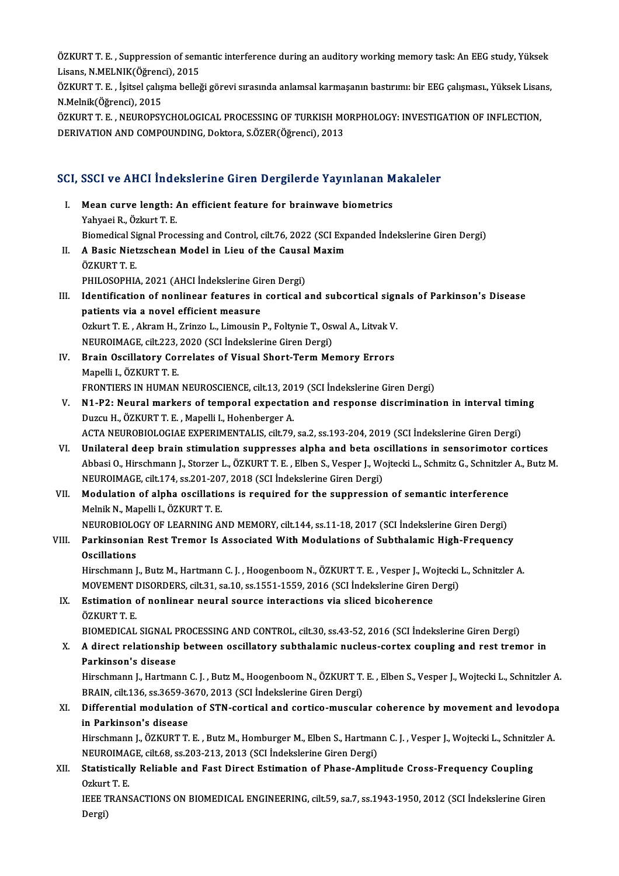ÖZKURT T. E. , Suppression of semantic interference during an auditory working memory task: An EEG study, Yüksek<br>Lisans N MELNIK(Öğrensi), 2015 ÖZKURT T. E. , Suppression of sem<br>Lisans, N.MELNIK(Öğrenci), 2015<br>ÖZKUPT T. E., İsitasl salısma ballağ ÖZKURT T. E. , Suppression of semantic interference during an auditory working memory task: An EEG study, Yüksek<br>Lisans, N.MELNIK(Öğrenci), 2015<br>ÖZKURT T. E. , İşitsel çalışma belleği görevi sırasında anlamsal karmaşanın b

Lisans, N.MELNIK(Öğrenci)<br>ÖZKURT T. E. , İşitsel çalış<br>N.Melnik(Öğrenci), 2015<br>ÖZKUPT T. E. NEUPOPSY ÖZKURT T. E. , İşitsel çalışma belleği görevi sırasında anlamsal karmaşanın bastırımı: bir EEG çalışması., Yüksek Lisai<br>N.Melnik(Öğrenci), 2015<br>ÖZKURT T. E. , NEUROPSYCHOLOGICAL PROCESSING OF TURKISH MORPHOLOGY: INVESTIGAT

N.Melnik(Öğrenci), 2015<br>ÖZKURT T. E. , NEUROPSYCHOLOGICAL PROCESSING OF TURKISH MORPHOLOGY: INVESTIGATION OF INFLECTION,<br>DERIVATION AND COMPOUNDING, Doktora, S.ÖZER(Öğrenci), 2013

# DERIVATION AND COMPOONDING, DOKWTA, S.OZER(Ogrenci), 2013<br>SCI, SSCI ve AHCI İndekslerine Giren Dergilerde Yayınlanan Makaleler

- CI, SSCI ve AHCI İndekslerine Giren Dergilerde Yayınlanan M<br>I. Mean curve length: An efficient feature for brainwave biometrics<br>Vehyasi B. Özkurt T. E I. Mean curve length: An efficient feature for brainwave biometrics Yahyaei R., Özkurt T. E. Mean curve length: An efficient feature for brainwave biometrics<br>Yahyaei R., Özkurt T. E.<br>Biomedical Signal Processing and Control, cilt.76, 2022 (SCI Expanded İndekslerine Giren Dergi)<br>A Bosis Nistresbean Model in Lieu of Yahyaei R., Özkurt T. E.<br>Biomedical Signal Processing and Control, cilt.76, 2022 (SCI Exp<br>II. A Basic Nietzschean Model in Lieu of the Causal Maxim<br>ÖZKUPT T. E Biomedical Si<br>**A Basic Niet<br>ÖZKURT T. E.**<br>PHU OSOPHI A Basic Nietzschean Model in Lieu of the Causa<br>ÖZKURT T. E.<br>PHILOSOPHIA, 2021 (AHCI İndekslerine Giren Dergi)<br>Identification of nonlinear features in conticel c ÖZKURT T. E.<br>PHILOSOPHIA, 2021 (AHCI İndekslerine Giren Dergi)<br>III. Identification of nonlinear features in cortical and subcortical signals of Parkinson's Disease<br>patients via a novel officient measure PHILOSOPHIA, 2021 (AHCI İndekslerine Gir<br>Identification of nonlinear features in<br>patients via a novel efficient measure Identification of nonlinear features in cortical and subcortical sign<br>patients via a novel efficient measure<br>Ozkurt T. E. , Akram H., Zrinzo L., Limousin P., Foltynie T., Oswal A., Litvak V.<br>NEUDOIMACE sit 222, 2020 (SCL I patients via a novel efficient measure<br>Ozkurt T. E. , Akram H., Zrinzo L., Limousin P., Foltynie T., Osv<br>NEUROIMAGE, cilt.223, 2020 (SCI İndekslerine Giren Dergi)<br>Prain Oscillatory Correlates of Visual Short Torm Me Ozkurt T. E. , Akram H., Zrinzo L., Limousin P., Foltynie T., Oswal A., Litvak V.<br>NEUROIMAGE, cilt.223, 2020 (SCI İndekslerine Giren Dergi)<br>IV. Brain Oscillatory Correlates of Visual Short-Term Memory Errors<br>Mapelli I., ÖZ NEUROIMAGE, cilt.223,<br>Brain Oscillatory Cor<br>Mapelli I., ÖZKURT T. E.<br>ERONTIERS IN HUMAN FRONTIERS IN HUMAN NEUROSCIENCE, cilt.13, 2019 (SCI İndekslerine Giren Dergi) Mapelli I., ÖZKURT T. E.<br>FRONTIERS IN HUMAN NEUROSCIENCE, cilt.13, 2019 (SCI İndekslerine Giren Dergi)<br>V. N1-P2: Neural markers of temporal expectation and response discrimination in interval timing<br>Duggy H. ÖZKUPT T. FRONTIERS IN HUMAN NEUROSCIENCE, cilt.13, 201<br>**N1-P2: Neural markers of temporal expectat**<br>Duzcu H., ÖZKURT T. E. , Mapelli I., Hohenberger A.<br>ACTA NEUROPIOLOCIAE EXPERIMENTALIS, cilt.79 N1-P2: Neural markers of temporal expectation and response discrimination in interval timi<br>Duzcu H., ÖZKURT T. E. , Mapelli I., Hohenberger A.<br>ACTA NEUROBIOLOGIAE EXPERIMENTALIS, cilt.79, sa.2, ss.193-204, 2019 (SCI İndeks
- Duzcu H., ÖZKURT T. E. , Mapelli I., Hohenberger A.<br>ACTA NEUROBIOLOGIAE EXPERIMENTALIS, cilt.79, sa.2, ss.193-204, 2019 (SCI İndekslerine Giren Dergi)<br>VI. Unilateral deep brain stimulation suppresses alpha and beta oscilla ACTA NEUROBIOLOGIAE EXPERIMENTALIS, cilt.79, sa.2, ss.193-204, 2019 (SCI İndekslerine Giren Dergi)<br>Unilateral deep brain stimulation suppresses alpha and beta oscillations in sensorimotor cortices<br>Abbasi O., Hirschmann J., Unilateral deep brain stimulation suppresses alpha and beta os<br>Abbasi O., Hirschmann J., Storzer L., ÖZKURT T. E. , Elben S., Vesper J., Wo<br>NEUROIMAGE, cilt.174, ss.201-207, 2018 (SCI İndekslerine Giren Dergi)<br>Medulation o Abbasi O., Hirschmann J., Storzer L., ÖZKURT T. E. , Elben S., Vesper J., Wojtecki L., Schmitz G., Schnitzler<br>NEUROIMAGE, cilt.174, ss.201-207, 2018 (SCI Indekslerine Giren Dergi)<br>VII. Modulation of alpha oscillations is r
- NEUROIMAGE, cilt.174, ss.201-207<br>Modulation of alpha oscillatio<br>Melnik N., Mapelli I., ÖZKURT T. E.<br>NEUPORIOLOCY OF LEARNING AL Modulation of alpha oscillations is required for the suppression of semantic interference<br>Melnik N., Mapelli I., ÖZKURT T. E.<br>NEUROBIOLOGY OF LEARNING AND MEMORY, cilt.144, ss.11-18, 2017 (SCI İndekslerine Giren Dergi)<br>Per

NEUROBIOLOGY OF LEARNING AND MEMORY, cilt.144, ss.11-18, 2017 (SCI Indekslerine Giren Dergi)

# Melnik N., Mapelli I., ÖZKURT T. E.<br>NEUROBIOLOGY OF LEARNING AND MEMORY, cilt.144, ss.11-18, 2017 (SCI İndekslerine Giren Dergi)<br>VIII. Parkinsonian Rest Tremor Is Associated With Modulations of Subthalamic High-Frequen

Hirschmann J., Butz M., Hartmann C. J., Hoogenboom N., ÖZKURT T. E., Vesper J., Wojtecki L., Schnitzler A. Oscillations<br>Hirschmann J., Butz M., Hartmann C. J. , Hoogenboom N., ÖZKURT T. E. , Vesper J., Wojtecki<br>MOVEMENT DISORDERS, cilt.31, sa.10, ss.1551-1559, 2016 (SCI İndekslerine Giren Dergi)<br>Estimation of nonlinear neural s Hirschmann J., Butz M., Hartmann C. J. , Hoogenboom N., ÖZKURT T. E. , Vesper J., Wo<br>MOVEMENT DISORDERS, cilt.31, sa.10, ss.1551-1559, 2016 (SCI İndekslerine Giren I<br>IX. Estimation of nonlinear neural source interactions v

### MOVEMENT I<br>Estimation<br>ÖZKURT T. E.<br>PIOMEDICAL Estimation of nonlinear neural source interactions via sliced bicoherence<br>ÖZKURT T. E.<br>BIOMEDICAL SIGNAL PROCESSING AND CONTROL, cilt.30, ss.43-52, 2016 (SCI İndekslerine Giren Dergi)<br>A direct relationship between essillat ÖZKURT T. E.<br>BIOMEDICAL SIGNAL PROCESSING AND CONTROL, cilt.30, ss.43-52, 2016 (SCI İndekslerine Giren Dergi)<br>X. A direct relationship between oscillatory subthalamic nucleus-cortex coupling and rest tremor in<br>Parkinga

## BIOMEDICAL SIGNAL F<br>A direct relationship<br>Parkinson's disease<br><sup>Hircch</sup>mann L Hartmal

A direct relationship between oscillatory subthalamic nucleus-cortex coupling and rest tremor in<br>Parkinson's disease<br>Hirschmann J., Hartmann C. J. , Butz M., Hoogenboom N., ÖZKURT T. E. , Elben S., Vesper J., Wojtecki L., Parkinson's disease<br>Hirschmann J., Hartmann C. J. , Butz M., Hoogenboom N., ÖZKURT T.<br>BRAIN, cilt.136, ss.3659-3670, 2013 (SCI İndekslerine Giren Dergi)<br>Differential modulation of STN, sertisel and sertise muscule Hirschmann J., Hartmann C. J. , Butz M., Hoogenboom N., ÖZKURT T. E. , Elben S., Vesper J., Wojtecki L., Schnitzler A.<br>BRAIN, cilt.136, ss.3659-3670, 2013 (SCI indekslerine Giren Dergi)<br>XI. Differential modulation of STN-c

## BRAIN, cilt.136, ss.3659-3670, 2013 (SCI İndekslerine Giren Dergi)<br>Differential modulation of STN-cortical and cortico-muscula<br>in Parkinson's disease Differential modulation of STN-cortical and cortico-muscular coherence by movement and levodop;<br>in Parkinson's disease<br>Hirschmann J., ÖZKURT T. E. , Butz M., Homburger M., Elben S., Hartmann C. J. , Vesper J., Wojtecki L.,

Hirschmann J., ÖZKURT T. E. , Butz M., Homburger M., Elben S., Hartmann C. J. , Vesper J., Wojtecki L., Schnitzler A.<br>NEUROIMAGE, cilt.68, ss.203-213, 2013 (SCI İndekslerine Giren Dergi) Hirschmann J., ÖZKURT T. E. , Butz M., Homburger M., Elben S., Hartmann C. J. , Vesper J., Wojtecki L., Schnitzl<br>NEUROIMAGE, cilt.68, ss.203-213, 2013 (SCI İndekslerine Giren Dergi)<br>XII. Statistically Reliable and Fast Dir

## NEUROIMA<br>Statisticall<br>Ozkurt T. E.<br>JEEE TRANS Statistically Reliable and Fast Direct Estimation of Phase-Amplitude Cross-Frequency Coupling<br>Ozkurt T. E.<br>IEEE TRANSACTIONS ON BIOMEDICAL ENGINEERING, cilt.59, sa.7, ss.1943-1950, 2012 (SCI İndekslerine Giren<br>Persi)

Ozkurt<br>IEEE T<br>Dergi)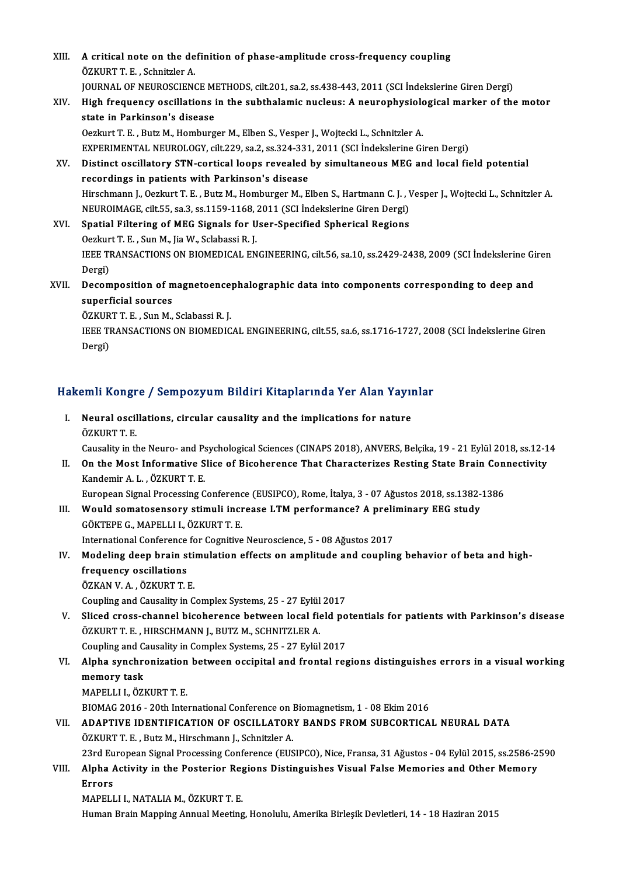XIII. A critical note on the definition of phase-amplitude cross-frequency coupling<br>ÖZKUPT E. Schnitzler A **A critical note on the de<br>ÖZKURT T. E. , Schnitzler A.<br>JOUPNAL OF NEUPOSCIEN** A critical note on the definition of phase-amplitude cross-frequency coupling<br>ÖZKURT T. E. , Schnitzler A.<br>JOURNAL OF NEUROSCIENCE METHODS, cilt.201, sa.2, ss.438-443, 2011 (SCI İndekslerine Giren Dergi)<br>High frequency eqs ÖZKURT T. E. , Schnitzler A.<br>JOURNAL OF NEUROSCIENCE METHODS, cilt.201, sa.2, ss.438-443, 2011 (SCI İndekslerine Giren Dergi)<br>XIV. High frequency oscillations in the subthalamic nucleus: A neurophysiological marker of JOURNAL OF NEUROSCIENCE MI<br>High frequency oscillations i<br>state in Parkinson's disease<br>Oscluut T. E., Butz M. Homburg High frequency oscillations in the subthalamic nucleus: A neurophysiolo<br>state in Parkinson's disease<br>Oezkurt T. E. , Butz M., Homburger M., Elben S., Vesper J., Wojtecki L., Schnitzler A.<br>EXPERIMENTAL NEUROLOCY, sit 229, s state in Parkinson's disease<br>Oezkurt T. E. , Butz M., Homburger M., Elben S., Vesper J., Wojtecki L., Schnitzler A.<br>EXPERIMENTAL NEUROLOGY, cilt.229, sa.2, ss.324-331, 2011 (SCI İndekslerine Giren Dergi)<br>Distinct oscillato Oezkurt T. E. , Butz M., Homburger M., Elben S., Vesper J., Wojtecki L., Schnitzler A.<br>EXPERIMENTAL NEUROLOGY, cilt.229, sa.2, ss.324-331, 2011 (SCI Indekslerine Giren Dergi)<br>XV. Distinct oscillatory STN-cortical loops rev EXPERIMENTAL NEUROLOGY, cilt.229, sa.2, ss.324-331<br>Distinct oscillatory STN-cortical loops revealed<br>recordings in patients with Parkinson's disease Distinct oscillatory STN-cortical loops revealed by simultaneous MEG and local field potential<br>recordings in patients with Parkinson's disease<br>Hirschmann J., Oezkurt T. E. , Butz M., Homburger M., Elben S., Hartmann C. J. recordings in patients with Parkinson's disease<br>Hirschmann J., Oezkurt T. E. , Butz M., Homburger M., Elben S., Hartmann C. J. , V<br>NEUROIMAGE, cilt.55, sa.3, ss.1159-1168, 2011 (SCI İndekslerine Giren Dergi)<br>Spatial Eilter Hirschmann J., Oezkurt T. E., Butz M., Homburger M., Elben S., Hartmann C. J., V<br>NEUROIMAGE, cilt.55, sa.3, ss.1159-1168, 2011 (SCI İndekslerine Giren Dergi)<br>XVI. Spatial Filtering of MEG Signals for User-Specified Spheric NEUROIMAGE, cilt.55, sa.3, ss.1159-1168, 2011 (SCI Indekslerine Giren Dergi)<br>Spatial Filtering of MEG Signals for User-Specified Spherical Regions<br>Oezkurt T. E. , Sun M., Jia W., Sclabassi R. J. Spatial Filtering of MEG Signals for User-Specified Spherical Regions<br>Oezkurt T. E. , Sun M., Jia W., Sclabassi R. J.<br>IEEE TRANSACTIONS ON BIOMEDICAL ENGINEERING, cilt.56, sa.10, ss.2429-2438, 2009 (SCI İndekslerine Giren<br> Oezkur<br>IEEE TI<br>Dergi)<br>Deser IEEE TRANSACTIONS ON BIOMEDICAL ENGINEERING, cilt.56, sa.10, ss.2429-2438, 2009 (SCI İndekslerine Gi<br>Dergi)<br>XVII. Decomposition of magnetoencephalographic data into components corresponding to deep and<br>aunorficial sources Dergi)<br>Decomposition of m<br>superficial sources<br>ÖZKUPTT E. Sup M Decomposition of magnetoence<br>superficial sources<br>ÖZKURT T. E. , Sun M., Sclabassi R. J.<br>JEEE TRANSACTIONS ON BIOMEDIC superficial sources<br>ÖZKURT T. E. , Sun M., Sclabassi R. J.<br>IEEE TRANSACTIONS ON BIOMEDICAL ENGINEERING, cilt.55, sa.6, ss.1716-1727, 2008 (SCI İndekslerine Giren<br>Dergi) ÖZKURT T. E., Sun M., Sclabassi R. J.

# bergi)<br>Hakemli Kongre / Sempozyum Bildiri Kitaplarında Yer Alan Yayınlar

akemli Kongre / Sempozyum Bildiri Kitaplarında Yer Alan Yayıı<br>I. Neural oscillations, circular causality and the implications for nature<br>ÖZKUPT E I. Neural oscillations, circular causality and the implications for nature ÖZKURT T. E. Neural oscillations, circular causality and the implications for nature<br>ÖZKURT T. E.<br>Causality in the Neuro- and Psychological Sciences (CINAPS 2018), ANVERS, Belçika, 19 - 21 Eylül 2018, ss.12-14<br>On the Mest Informative S II. On the Most Informative Slice of Bicoherence That Characterizes Resting State Brain Connectivity<br>Kandemir A. L., ÖZKURT T. E. Causality in the Neuro- and P:<br>On the Most Informative S<br>Kandemir A. L. , ÖZKURT T. E.<br>European Signal Brassssing C On the Most Informative Slice of Bicoherence That Characterizes Resting State Brain Con<br>Kandemir A. L. , ÖZKURT T. E.<br>European Signal Processing Conference (EUSIPCO), Rome, İtalya, 3 - 07 Ağustos 2018, ss.1382-1386<br>Would c

Kandemir A. L. , ÖZKURT T. E.<br>European Signal Processing Conference (EUSIPCO), Rome, İtalya, 3 - 07 Ağustos 2018, ss.1382-<br>III. Would somatosensory stimuli increase LTM performance? A preliminary EEG study European Signal Processing Conference<br>Would somatosensory stimuli incredictions<br>GÖKTEPE G., MAPELLI I., ÖZKURT T. E.<br>International Conference for Cognitive III. Would somatosensory stimuli increase LTM performance? A preliminary EEG study<br>GÖKTEPE G., MAPELLI I., ÖZKURT T. E.<br>International Conference for Cognitive Neuroscience, 5 - 08 Ağustos 2017

GÖKTEPE G., MAPELLI I., ÖZKURT T. E.<br>International Conference for Cognitive Neuroscience, 5 - 08 Ağustos 2017<br>IV. Modeling deep brain stimulation effects on amplitude and coupling behavior of beta and high-<br>frequency e International Conference<br>Modeling deep brain s<br>frequency oscillations<br>ÖZKAN V.A. ÖZKUPT T. frequency oscillations<br>ÖZKAN V.A., ÖZKURT T.E.

Coupling and Causality in Complex Systems, 25 - 27 Eylül 2017

- ÖZKAN V. A. , ÖZKURT T. E.<br>Coupling and Causality in Complex Systems, 25 27 Eylül 2017<br>V. Sliced cross-channel bicoherence between local field potentials for patients with Parkinson's disease<br>ÖZKUPT T. E. HURCHMANN L. PU ÖZKURT T. E., HIRSCHMANN J., BUTZ M., SCHNITZLER A.<br>Coupling and Causality in Complex Systems, 25 - 27 Eylül 2017 Sliced cross-channel bicoherence between local field po<br>ÖZKURT T. E. , HIRSCHMANN J., BUTZ M., SCHNITZLER A.<br>Coupling and Causality in Complex Systems, 25 - 27 Eylül 2017<br>Alnha synghronization between ossinital and frontal ÖZKURT T. E. , HIRSCHMANN J., BUTZ M., SCHNITZLER A.<br>Coupling and Causality in Complex Systems, 25 - 27 Eylül 2017<br>VI. Alpha synchronization between occipital and frontal regions distinguishes errors in a visual workin
- Coupling and C.<br>Alpha synchro<br>memory task<br>MARELLLLÖZI Alpha synchronization<br>memory task<br>MAPELLI I., ÖZKURT T. E.<br>PIOMAC 2016 - 20th Inte memory task<br>MAPELLI I., ÖZKURT T. E.<br>BIOMAG 2016 - 20th International Conference on Biomagnetism, 1 - 08 Ekim 2016
	-

MAPELLI I., ÖZKURT T. E.<br>BIOMAG 2016 - 20th International Conference on Biomagnetism, 1 - 08 Ekim 2016<br>VII. ADAPTIVE IDENTIFICATION OF OSCILLATORY BANDS FROM SUBCORTICAL NEURAL DATA BIOMAG 2016 - 20th International Conference on l<br>ADAPTIVE IDENTIFICATION OF OSCILLATOR<br>ÖZKURT T. E. , Butz M., Hirschmann J., Schnitzler A.<br>22rd European Signal Brassesing Conference (EUS ADAPTIVE IDENTIFICATION OF OSCILLATORY BANDS FROM SUBCORTICAL NEURAL DATA<br>ÖZKURT T. E. , Butz M., Hirschmann J., Schnitzler A.<br>23rd European Signal Processing Conference (EUSIPCO), Nice, Fransa, 31 Ağustos - 04 Eylül 2015, ÖZKURT T. E. , Butz M., Hirschmann J., Schnitzler A.<br>23rd European Signal Processing Conference (EUSIPCO), Nice, Fransa, 31 Ağustos - 04 Eylül 2015, ss.2586-2.<br>VIII. Alpha Activity in the Posterior Regions Distinguishe

23rd Eu<br><mark>Alpha /</mark><br>Errors<br>MAPELI Alpha Activity in the Posterior Reg<br>Errors<br>MAPELLI I., NATALIA M., ÖZKURT T. E.<br>Human Brain Manning Annual Macting <mark>Errors</mark><br>MAPELLI I., NATALIA M., ÖZKURT T. E.<br>Human Brain Mapping Annual Meeting, Honolulu, Amerika Birleşik Devletleri, 14 - 18 Haziran 2015